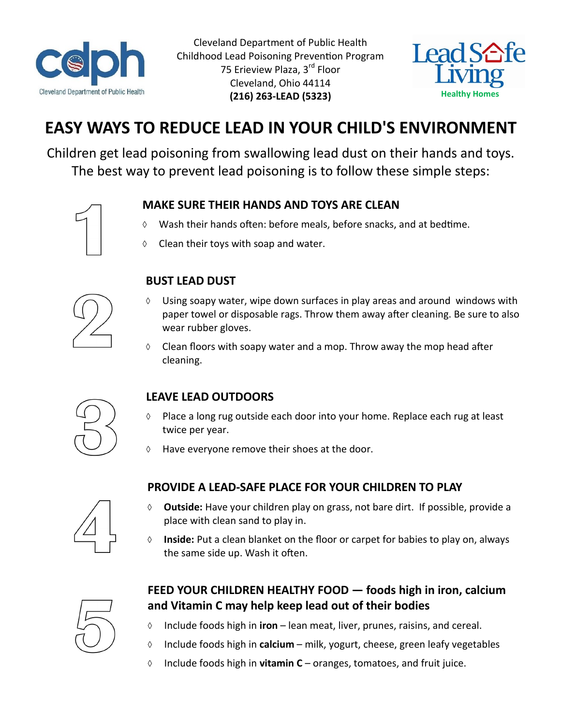

Cleveland Department of Public Health Childhood Lead Poisoning Prevention Program 75 Erieview Plaza, 3<sup>rd</sup> Floor Cleveland, Ohio 44114 **(216) 263-LEAD (5323)**



# **EASY WAYS TO REDUCE LEAD IN YOUR CHILD'S ENVIRONMENT**

Children get lead poisoning from swallowing lead dust on their hands and toys. The best way to prevent lead poisoning is to follow these simple steps:

#### **MAKE SURE THEIR HANDS AND TOYS ARE CLEAN**

- Wash their hands often: before meals, before snacks, and at bedtime.
- Clean their toys with soap and water.



## **BUST LEAD DUST**

- $\Diamond$  Using soapy water, wipe down surfaces in play areas and around windows with paper towel or disposable rags. Throw them away after cleaning. Be sure to also wear rubber gloves.
- $\Diamond$  Clean floors with soapy water and a mop. Throw away the mop head after cleaning.



### **LEAVE LEAD OUTDOORS**

- $\Diamond$  Place a long rug outside each door into your home. Replace each rug at least twice per year.
- $\Diamond$  Have everyone remove their shoes at the door.

### **PROVIDE A LEAD-SAFE PLACE FOR YOUR CHILDREN TO PLAY**



- **Outside:** Have your children play on grass, not bare dirt. If possible, provide a place with clean sand to play in.
- **Inside:** Put a clean blanket on the floor or carpet for babies to play on, always the same side up. Wash it often.



#### **FEED YOUR CHILDREN HEALTHY FOOD — foods high in iron, calcium and Vitamin C may help keep lead out of their bodies**

- Include foods high in **iron** lean meat, liver, prunes, raisins, and cereal.
- Include foods high in **calcium** milk, yogurt, cheese, green leafy vegetables
- Include foods high in **vitamin C**  oranges, tomatoes, and fruit juice.